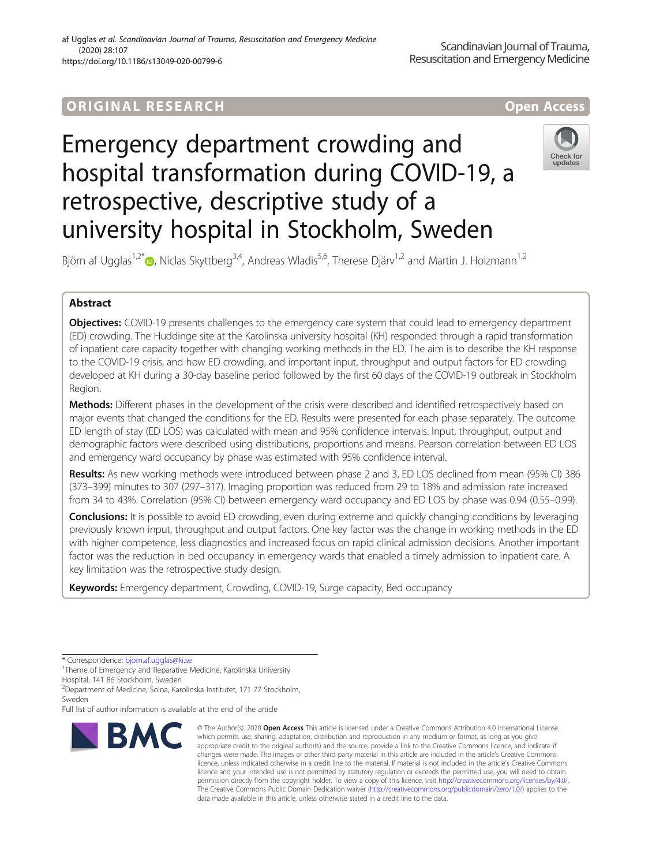# ORIGINA L R E S EA RCH Open Access

# Emergency department crowding and hospital transformation during COVID-19, a retrospective, descriptive study of a university hospital in Stockholm, Sweden



Björn af Ugglas<sup>1,2[\\*](http://orcid.org/0000-0003-2841-0661)</sup> $\bullet$ , Niclas Skyttberg<sup>3,4</sup>, Andreas Wladis<sup>5,6</sup>, Therese Djärv<sup>1,2</sup> and Martin J. Holzmann<sup>1,2</sup>

# Abstract

Objectives: COVID-19 presents challenges to the emergency care system that could lead to emergency department (ED) crowding. The Huddinge site at the Karolinska university hospital (KH) responded through a rapid transformation of inpatient care capacity together with changing working methods in the ED. The aim is to describe the KH response to the COVID-19 crisis, and how ED crowding, and important input, throughput and output factors for ED crowding developed at KH during a 30-day baseline period followed by the first 60 days of the COVID-19 outbreak in Stockholm Region.

Methods: Different phases in the development of the crisis were described and identified retrospectively based on major events that changed the conditions for the ED. Results were presented for each phase separately. The outcome ED length of stay (ED LOS) was calculated with mean and 95% confidence intervals. Input, throughput, output and demographic factors were described using distributions, proportions and means. Pearson correlation between ED LOS and emergency ward occupancy by phase was estimated with 95% confidence interval.

Results: As new working methods were introduced between phase 2 and 3, ED LOS declined from mean (95% CI) 386 (373–399) minutes to 307 (297–317). Imaging proportion was reduced from 29 to 18% and admission rate increased from 34 to 43%. Correlation (95% CI) between emergency ward occupancy and ED LOS by phase was 0.94 (0.55–0.99).

**Conclusions:** It is possible to avoid ED crowding, even during extreme and quickly changing conditions by leveraging previously known input, throughput and output factors. One key factor was the change in working methods in the ED with higher competence, less diagnostics and increased focus on rapid clinical admission decisions. Another important factor was the reduction in bed occupancy in emergency wards that enabled a timely admission to inpatient care. A key limitation was the retrospective study design.

Keywords: Emergency department, Crowding, COVID-19, Surge capacity, Bed occupancy

\* Correspondence: [bjorn.af.ugglas@ki.se](mailto:bjorn.af.ugglas@ki.se) <sup>1</sup>

<sup>1</sup>Theme of Emergency and Reparative Medicine, Karolinska University

Hospital, 141 86 Stockholm, Sweden

<sup>2</sup>Department of Medicine, Solna, Karolinska Institutet, 171 77 Stockholm, Sweden

Full list of author information is available at the end of the article



<sup>©</sup> The Author(s), 2020 **Open Access** This article is licensed under a Creative Commons Attribution 4.0 International License, which permits use, sharing, adaptation, distribution and reproduction in any medium or format, as long as you give appropriate credit to the original author(s) and the source, provide a link to the Creative Commons licence, and indicate if changes were made. The images or other third party material in this article are included in the article's Creative Commons licence, unless indicated otherwise in a credit line to the material. If material is not included in the article's Creative Commons licence and your intended use is not permitted by statutory regulation or exceeds the permitted use, you will need to obtain permission directly from the copyright holder. To view a copy of this licence, visit [http://creativecommons.org/licenses/by/4.0/.](http://creativecommons.org/licenses/by/4.0/) The Creative Commons Public Domain Dedication waiver [\(http://creativecommons.org/publicdomain/zero/1.0/](http://creativecommons.org/publicdomain/zero/1.0/)) applies to the data made available in this article, unless otherwise stated in a credit line to the data.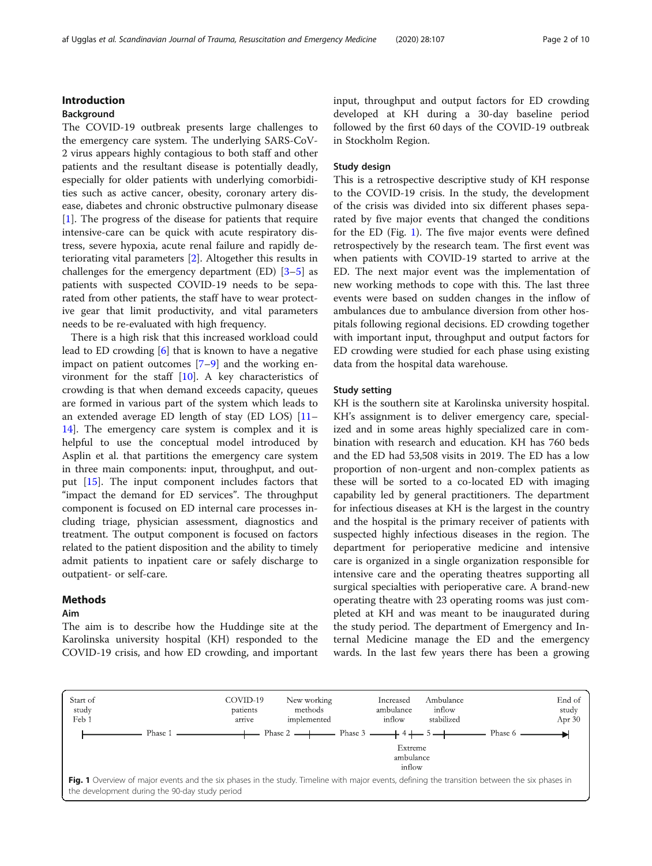#### Introduction

#### Background

The COVID-19 outbreak presents large challenges to the emergency care system. The underlying SARS-CoV-2 virus appears highly contagious to both staff and other patients and the resultant disease is potentially deadly, especially for older patients with underlying comorbidities such as active cancer, obesity, coronary artery disease, diabetes and chronic obstructive pulmonary disease [[1\]](#page-8-0). The progress of the disease for patients that require intensive-care can be quick with acute respiratory distress, severe hypoxia, acute renal failure and rapidly deteriorating vital parameters [[2\]](#page-8-0). Altogether this results in challenges for the emergency department  $(ED)$  [[3](#page-8-0)–[5](#page-9-0)] as patients with suspected COVID-19 needs to be separated from other patients, the staff have to wear protective gear that limit productivity, and vital parameters needs to be re-evaluated with high frequency.

There is a high risk that this increased workload could lead to ED crowding [\[6\]](#page-9-0) that is known to have a negative impact on patient outcomes [[7](#page-9-0)–[9](#page-9-0)] and the working environment for the staff [\[10](#page-9-0)]. A key characteristics of crowding is that when demand exceeds capacity, queues are formed in various part of the system which leads to an extended average ED length of stay (ED LOS) [[11](#page-9-0)– [14\]](#page-9-0). The emergency care system is complex and it is helpful to use the conceptual model introduced by Asplin et al. that partitions the emergency care system in three main components: input, throughput, and output [\[15](#page-9-0)]. The input component includes factors that "impact the demand for ED services". The throughput component is focused on ED internal care processes including triage, physician assessment, diagnostics and treatment. The output component is focused on factors related to the patient disposition and the ability to timely admit patients to inpatient care or safely discharge to outpatient- or self-care.

#### Methods

#### Aim

The aim is to describe how the Huddinge site at the Karolinska university hospital (KH) responded to the COVID-19 crisis, and how ED crowding, and important input, throughput and output factors for ED crowding developed at KH during a 30-day baseline period followed by the first 60 days of the COVID-19 outbreak in Stockholm Region.

#### Study design

This is a retrospective descriptive study of KH response to the COVID-19 crisis. In the study, the development of the crisis was divided into six different phases separated by five major events that changed the conditions for the ED (Fig. 1). The five major events were defined retrospectively by the research team. The first event was when patients with COVID-19 started to arrive at the ED. The next major event was the implementation of new working methods to cope with this. The last three events were based on sudden changes in the inflow of ambulances due to ambulance diversion from other hospitals following regional decisions. ED crowding together with important input, throughput and output factors for ED crowding were studied for each phase using existing data from the hospital data warehouse.

#### Study setting

KH is the southern site at Karolinska university hospital. KH's assignment is to deliver emergency care, specialized and in some areas highly specialized care in combination with research and education. KH has 760 beds and the ED had 53,508 visits in 2019. The ED has a low proportion of non-urgent and non-complex patients as these will be sorted to a co-located ED with imaging capability led by general practitioners. The department for infectious diseases at KH is the largest in the country and the hospital is the primary receiver of patients with suspected highly infectious diseases in the region. The department for perioperative medicine and intensive care is organized in a single organization responsible for intensive care and the operating theatres supporting all surgical specialties with perioperative care. A brand-new operating theatre with 23 operating rooms was just completed at KH and was meant to be inaugurated during the study period. The department of Emergency and Internal Medicine manage the ED and the emergency wards. In the last few years there has been a growing

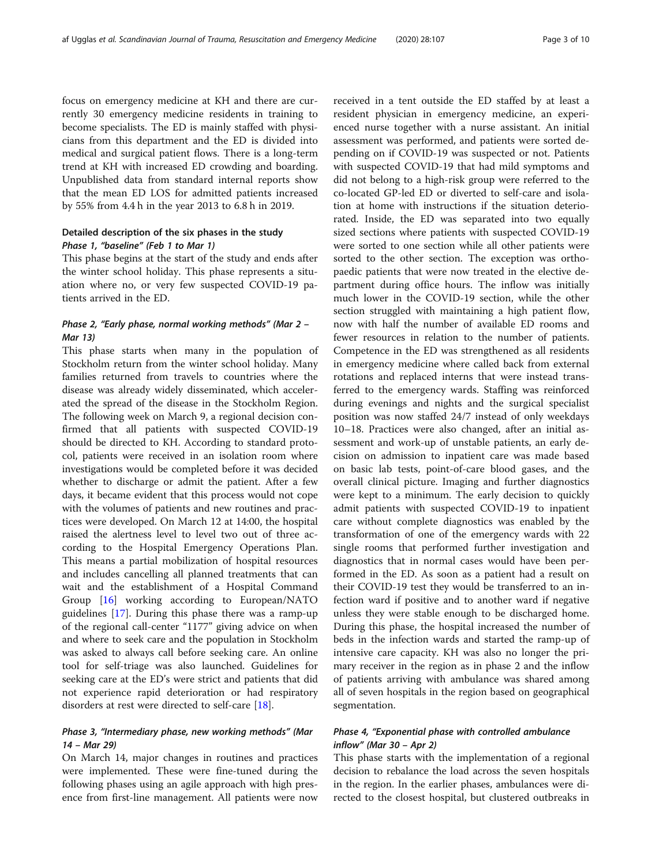focus on emergency medicine at KH and there are currently 30 emergency medicine residents in training to become specialists. The ED is mainly staffed with physicians from this department and the ED is divided into medical and surgical patient flows. There is a long-term trend at KH with increased ED crowding and boarding. Unpublished data from standard internal reports show that the mean ED LOS for admitted patients increased by 55% from 4.4 h in the year 2013 to 6.8 h in 2019.

# Detailed description of the six phases in the study Phase 1, "baseline" (Feb 1 to Mar 1)

This phase begins at the start of the study and ends after the winter school holiday. This phase represents a situation where no, or very few suspected COVID-19 patients arrived in the ED.

# Phase 2, "Early phase, normal working methods" (Mar 2 – Mar 13)

This phase starts when many in the population of Stockholm return from the winter school holiday. Many families returned from travels to countries where the disease was already widely disseminated, which accelerated the spread of the disease in the Stockholm Region. The following week on March 9, a regional decision confirmed that all patients with suspected COVID-19 should be directed to KH. According to standard protocol, patients were received in an isolation room where investigations would be completed before it was decided whether to discharge or admit the patient. After a few days, it became evident that this process would not cope with the volumes of patients and new routines and practices were developed. On March 12 at 14:00, the hospital raised the alertness level to level two out of three according to the Hospital Emergency Operations Plan. This means a partial mobilization of hospital resources and includes cancelling all planned treatments that can wait and the establishment of a Hospital Command Group [\[16\]](#page-9-0) working according to European/NATO guidelines [[17\]](#page-9-0). During this phase there was a ramp-up of the regional call-center "1177" giving advice on when and where to seek care and the population in Stockholm was asked to always call before seeking care. An online tool for self-triage was also launched. Guidelines for seeking care at the ED's were strict and patients that did not experience rapid deterioration or had respiratory disorders at rest were directed to self-care [\[18\]](#page-9-0).

# Phase 3, "Intermediary phase, new working methods" (Mar 14 – Mar 29)

On March 14, major changes in routines and practices were implemented. These were fine-tuned during the following phases using an agile approach with high presence from first-line management. All patients were now received in a tent outside the ED staffed by at least a resident physician in emergency medicine, an experienced nurse together with a nurse assistant. An initial assessment was performed, and patients were sorted depending on if COVID-19 was suspected or not. Patients with suspected COVID-19 that had mild symptoms and did not belong to a high-risk group were referred to the co-located GP-led ED or diverted to self-care and isolation at home with instructions if the situation deteriorated. Inside, the ED was separated into two equally sized sections where patients with suspected COVID-19 were sorted to one section while all other patients were sorted to the other section. The exception was orthopaedic patients that were now treated in the elective department during office hours. The inflow was initially much lower in the COVID-19 section, while the other section struggled with maintaining a high patient flow, now with half the number of available ED rooms and fewer resources in relation to the number of patients. Competence in the ED was strengthened as all residents in emergency medicine where called back from external rotations and replaced interns that were instead transferred to the emergency wards. Staffing was reinforced during evenings and nights and the surgical specialist position was now staffed 24/7 instead of only weekdays 10–18. Practices were also changed, after an initial assessment and work-up of unstable patients, an early decision on admission to inpatient care was made based on basic lab tests, point-of-care blood gases, and the overall clinical picture. Imaging and further diagnostics were kept to a minimum. The early decision to quickly admit patients with suspected COVID-19 to inpatient care without complete diagnostics was enabled by the transformation of one of the emergency wards with 22 single rooms that performed further investigation and diagnostics that in normal cases would have been performed in the ED. As soon as a patient had a result on their COVID-19 test they would be transferred to an infection ward if positive and to another ward if negative unless they were stable enough to be discharged home. During this phase, the hospital increased the number of beds in the infection wards and started the ramp-up of intensive care capacity. KH was also no longer the primary receiver in the region as in phase 2 and the inflow of patients arriving with ambulance was shared among all of seven hospitals in the region based on geographical segmentation.

# Phase 4, "Exponential phase with controlled ambulance inflow" (Mar 30 – Apr 2)

This phase starts with the implementation of a regional decision to rebalance the load across the seven hospitals in the region. In the earlier phases, ambulances were directed to the closest hospital, but clustered outbreaks in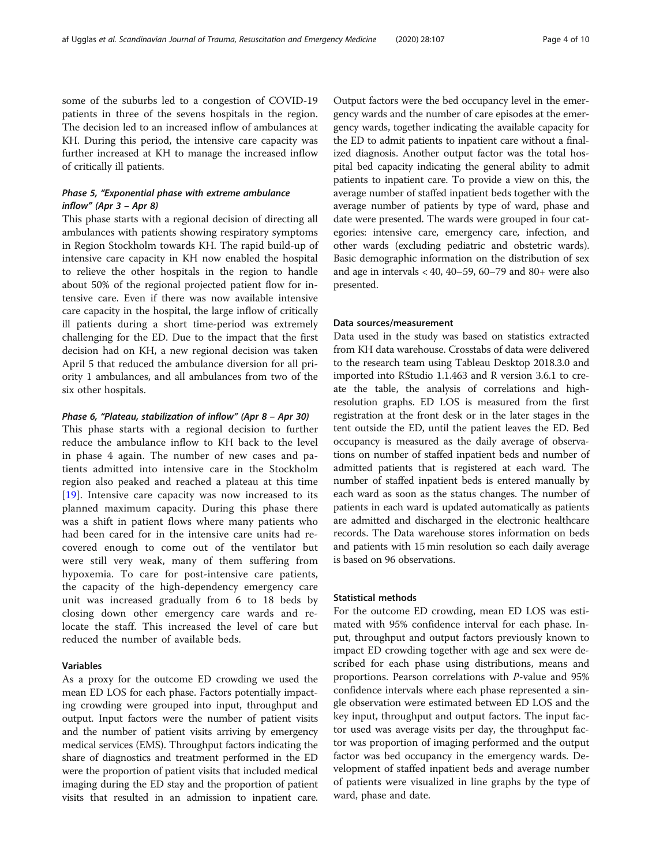some of the suburbs led to a congestion of COVID-19 patients in three of the sevens hospitals in the region. The decision led to an increased inflow of ambulances at KH. During this period, the intensive care capacity was further increased at KH to manage the increased inflow of critically ill patients.

# Phase 5, "Exponential phase with extreme ambulance inflow" (Apr 3 – Apr 8)

This phase starts with a regional decision of directing all ambulances with patients showing respiratory symptoms in Region Stockholm towards KH. The rapid build-up of intensive care capacity in KH now enabled the hospital to relieve the other hospitals in the region to handle about 50% of the regional projected patient flow for intensive care. Even if there was now available intensive care capacity in the hospital, the large inflow of critically ill patients during a short time-period was extremely challenging for the ED. Due to the impact that the first decision had on KH, a new regional decision was taken April 5 that reduced the ambulance diversion for all priority 1 ambulances, and all ambulances from two of the six other hospitals.

#### Phase 6, "Plateau, stabilization of inflow" (Apr 8 – Apr 30)

This phase starts with a regional decision to further reduce the ambulance inflow to KH back to the level in phase 4 again. The number of new cases and patients admitted into intensive care in the Stockholm region also peaked and reached a plateau at this time [[19\]](#page-9-0). Intensive care capacity was now increased to its planned maximum capacity. During this phase there was a shift in patient flows where many patients who had been cared for in the intensive care units had recovered enough to come out of the ventilator but were still very weak, many of them suffering from hypoxemia. To care for post-intensive care patients, the capacity of the high-dependency emergency care unit was increased gradually from 6 to 18 beds by closing down other emergency care wards and relocate the staff. This increased the level of care but reduced the number of available beds.

#### Variables

As a proxy for the outcome ED crowding we used the mean ED LOS for each phase. Factors potentially impacting crowding were grouped into input, throughput and output. Input factors were the number of patient visits and the number of patient visits arriving by emergency medical services (EMS). Throughput factors indicating the share of diagnostics and treatment performed in the ED were the proportion of patient visits that included medical imaging during the ED stay and the proportion of patient visits that resulted in an admission to inpatient care.

Output factors were the bed occupancy level in the emergency wards and the number of care episodes at the emergency wards, together indicating the available capacity for the ED to admit patients to inpatient care without a finalized diagnosis. Another output factor was the total hospital bed capacity indicating the general ability to admit patients to inpatient care. To provide a view on this, the average number of staffed inpatient beds together with the average number of patients by type of ward, phase and date were presented. The wards were grouped in four categories: intensive care, emergency care, infection, and other wards (excluding pediatric and obstetric wards). Basic demographic information on the distribution of sex and age in intervals  $<$  40, 40–59, 60–79 and 80+ were also presented.

#### Data sources/measurement

Data used in the study was based on statistics extracted from KH data warehouse. Crosstabs of data were delivered to the research team using Tableau Desktop 2018.3.0 and imported into RStudio 1.1.463 and R version 3.6.1 to create the table, the analysis of correlations and highresolution graphs. ED LOS is measured from the first registration at the front desk or in the later stages in the tent outside the ED, until the patient leaves the ED. Bed occupancy is measured as the daily average of observations on number of staffed inpatient beds and number of admitted patients that is registered at each ward. The number of staffed inpatient beds is entered manually by each ward as soon as the status changes. The number of patients in each ward is updated automatically as patients are admitted and discharged in the electronic healthcare records. The Data warehouse stores information on beds and patients with 15 min resolution so each daily average is based on 96 observations.

#### Statistical methods

For the outcome ED crowding, mean ED LOS was estimated with 95% confidence interval for each phase. Input, throughput and output factors previously known to impact ED crowding together with age and sex were described for each phase using distributions, means and proportions. Pearson correlations with P-value and 95% confidence intervals where each phase represented a single observation were estimated between ED LOS and the key input, throughput and output factors. The input factor used was average visits per day, the throughput factor was proportion of imaging performed and the output factor was bed occupancy in the emergency wards. Development of staffed inpatient beds and average number of patients were visualized in line graphs by the type of ward, phase and date.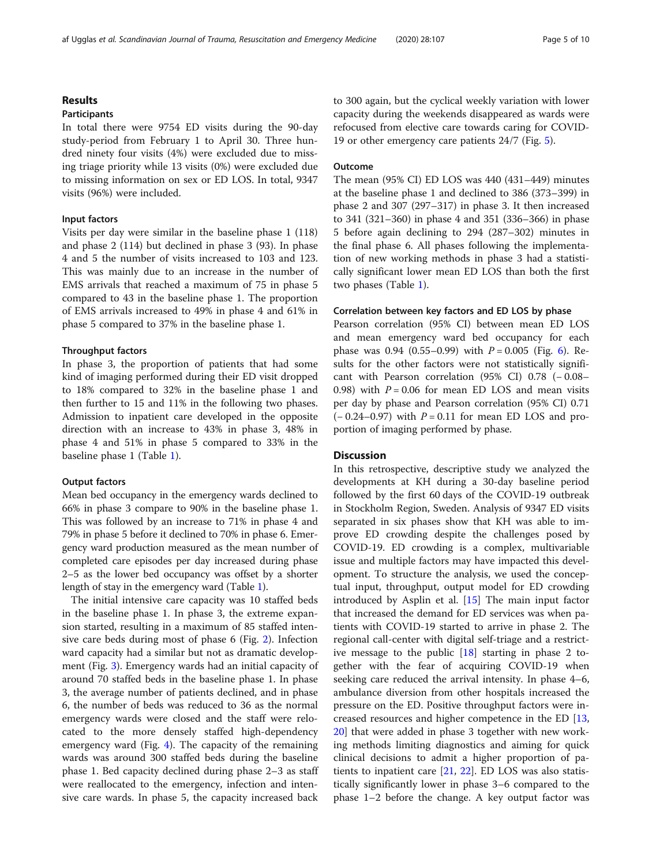# Results

#### Participants

In total there were 9754 ED visits during the 90-day study-period from February 1 to April 30. Three hundred ninety four visits (4%) were excluded due to missing triage priority while 13 visits (0%) were excluded due to missing information on sex or ED LOS. In total, 9347 visits (96%) were included.

# Input factors

Visits per day were similar in the baseline phase 1 (118) and phase 2 (114) but declined in phase 3 (93). In phase 4 and 5 the number of visits increased to 103 and 123. This was mainly due to an increase in the number of EMS arrivals that reached a maximum of 75 in phase 5 compared to 43 in the baseline phase 1. The proportion of EMS arrivals increased to 49% in phase 4 and 61% in phase 5 compared to 37% in the baseline phase 1.

#### Throughput factors

In phase 3, the proportion of patients that had some kind of imaging performed during their ED visit dropped to 18% compared to 32% in the baseline phase 1 and then further to 15 and 11% in the following two phases. Admission to inpatient care developed in the opposite direction with an increase to 43% in phase 3, 48% in phase 4 and 51% in phase 5 compared to 33% in the baseline phase 1 (Table [1](#page-5-0)).

#### Output factors

Mean bed occupancy in the emergency wards declined to 66% in phase 3 compare to 90% in the baseline phase 1. This was followed by an increase to 71% in phase 4 and 79% in phase 5 before it declined to 70% in phase 6. Emergency ward production measured as the mean number of completed care episodes per day increased during phase 2–5 as the lower bed occupancy was offset by a shorter length of stay in the emergency ward (Table [1\)](#page-5-0).

The initial intensive care capacity was 10 staffed beds in the baseline phase 1. In phase 3, the extreme expansion started, resulting in a maximum of 85 staffed intensive care beds during most of phase 6 (Fig. [2](#page-6-0)). Infection ward capacity had a similar but not as dramatic development (Fig. [3](#page-6-0)). Emergency wards had an initial capacity of around 70 staffed beds in the baseline phase 1. In phase 3, the average number of patients declined, and in phase 6, the number of beds was reduced to 36 as the normal emergency wards were closed and the staff were relocated to the more densely staffed high-dependency emergency ward (Fig. [4\)](#page-7-0). The capacity of the remaining wards was around 300 staffed beds during the baseline phase 1. Bed capacity declined during phase 2–3 as staff were reallocated to the emergency, infection and intensive care wards. In phase 5, the capacity increased back to 300 again, but the cyclical weekly variation with lower capacity during the weekends disappeared as wards were refocused from elective care towards caring for COVID-19 or other emergency care patients 24/7 (Fig. [5](#page-7-0)).

#### **Outcome**

The mean (95% CI) ED LOS was 440 (431–449) minutes at the baseline phase 1 and declined to 386 (373–399) in phase 2 and 307 (297–317) in phase 3. It then increased to 341 (321–360) in phase 4 and 351 (336–366) in phase 5 before again declining to 294 (287–302) minutes in the final phase 6. All phases following the implementation of new working methods in phase 3 had a statistically significant lower mean ED LOS than both the first two phases (Table [1\)](#page-5-0).

#### Correlation between key factors and ED LOS by phase

Pearson correlation (95% CI) between mean ED LOS and mean emergency ward bed occupancy for each phase was 0.94 (0.55–0.99) with  $P = 0.005$  (Fig. [6\)](#page-8-0). Results for the other factors were not statistically significant with Pearson correlation (95% CI) 0.78 (− 0.08– 0.98) with  $P = 0.06$  for mean ED LOS and mean visits per day by phase and Pearson correlation (95% CI) 0.71  $(-0.24-0.97)$  with  $P = 0.11$  for mean ED LOS and proportion of imaging performed by phase.

#### **Discussion**

In this retrospective, descriptive study we analyzed the developments at KH during a 30-day baseline period followed by the first 60 days of the COVID-19 outbreak in Stockholm Region, Sweden. Analysis of 9347 ED visits separated in six phases show that KH was able to improve ED crowding despite the challenges posed by COVID-19. ED crowding is a complex, multivariable issue and multiple factors may have impacted this development. To structure the analysis, we used the conceptual input, throughput, output model for ED crowding introduced by Asplin et al. [\[15](#page-9-0)] The main input factor that increased the demand for ED services was when patients with COVID-19 started to arrive in phase 2. The regional call-center with digital self-triage and a restrictive message to the public [\[18\]](#page-9-0) starting in phase 2 together with the fear of acquiring COVID-19 when seeking care reduced the arrival intensity. In phase 4–6, ambulance diversion from other hospitals increased the pressure on the ED. Positive throughput factors were increased resources and higher competence in the ED [[13](#page-9-0), [20\]](#page-9-0) that were added in phase 3 together with new working methods limiting diagnostics and aiming for quick clinical decisions to admit a higher proportion of patients to inpatient care [\[21](#page-9-0), [22](#page-9-0)]. ED LOS was also statistically significantly lower in phase 3–6 compared to the phase 1–2 before the change. A key output factor was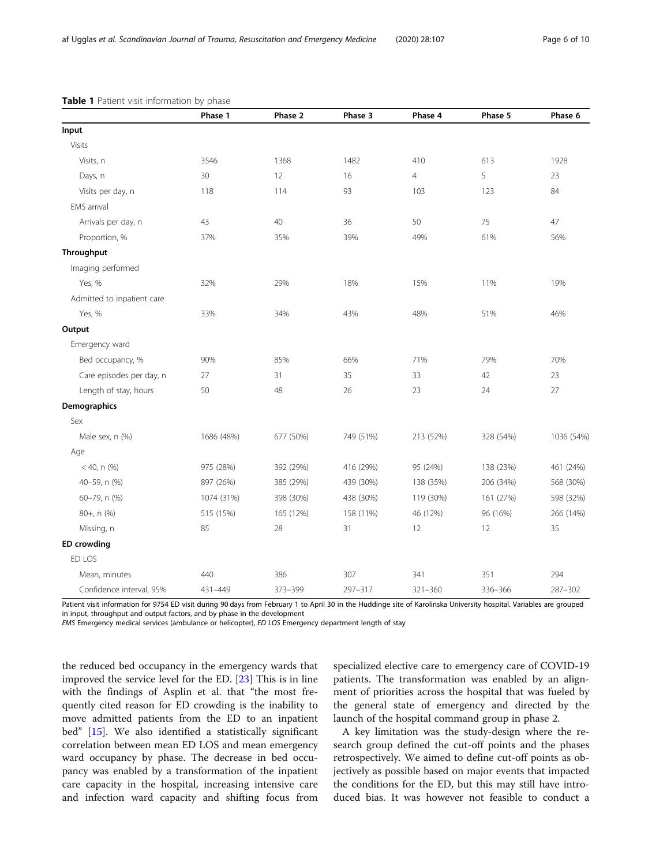|                            | Phase 1    | Phase 2   | Phase 3   | Phase 4        | Phase 5   | Phase 6    |
|----------------------------|------------|-----------|-----------|----------------|-----------|------------|
| Input                      |            |           |           |                |           |            |
| Visits                     |            |           |           |                |           |            |
| Visits, n                  | 3546       | 1368      | 1482      | 410            | 613       | 1928       |
| Days, n                    | 30         | 12        | 16        | $\overline{4}$ | 5         | 23         |
| Visits per day, n          | 118        | 114       | 93        | 103            | 123       | 84         |
| <b>EMS</b> arrival         |            |           |           |                |           |            |
| Arrivals per day, n        | 43         | 40        | 36        | 50             | 75        | 47         |
| Proportion, %              | 37%        | 35%       | 39%       | 49%            | 61%       | 56%        |
| Throughput                 |            |           |           |                |           |            |
| Imaging performed          |            |           |           |                |           |            |
| Yes, %                     | 32%        | 29%       | 18%       | 15%            | 11%       | 19%        |
| Admitted to inpatient care |            |           |           |                |           |            |
| Yes, %                     | 33%        | 34%       | 43%       | 48%            | 51%       | 46%        |
| Output                     |            |           |           |                |           |            |
| Emergency ward             |            |           |           |                |           |            |
| Bed occupancy, %           | 90%        | 85%       | 66%       | 71%            | 79%       | 70%        |
| Care episodes per day, n   | 27         | 31        | 35        | 33             | 42        | 23         |
| Length of stay, hours      | 50         | 48        | 26        | 23             | 24        | 27         |
| Demographics               |            |           |           |                |           |            |
| Sex                        |            |           |           |                |           |            |
| Male sex, n (%)            | 1686 (48%) | 677 (50%) | 749 (51%) | 213 (52%)      | 328 (54%) | 1036 (54%) |
| Age                        |            |           |           |                |           |            |
| $< 40$ , n $(\%)$          | 975 (28%)  | 392 (29%) | 416 (29%) | 95 (24%)       | 138 (23%) | 461 (24%)  |
| 40-59, n (%)               | 897 (26%)  | 385 (29%) | 439 (30%) | 138 (35%)      | 206 (34%) | 568 (30%)  |
| 60-79, n (%)               | 1074 (31%) | 398 (30%) | 438 (30%) | 119 (30%)      | 161 (27%) | 598 (32%)  |
| 80+, n (%)                 | 515 (15%)  | 165 (12%) | 158 (11%) | 46 (12%)       | 96 (16%)  | 266 (14%)  |
| Missing, n                 | 85         | 28        | 31        | 12             | 12        | 35         |
| <b>ED</b> crowding         |            |           |           |                |           |            |
| ED LOS                     |            |           |           |                |           |            |
| Mean, minutes              | 440        | 386       | 307       | 341            | 351       | 294        |
| Confidence interval, 95%   | 431-449    | 373-399   | 297-317   | $321 - 360$    | 336-366   | 287-302    |

#### <span id="page-5-0"></span>Table 1 Patient visit information by phase

Patient visit information for 9754 ED visit during 90 days from February 1 to April 30 in the Huddinge site of Karolinska University hospital. Variables are grouped in input, throughput and output factors, and by phase in the development

EMS Emergency medical services (ambulance or helicopter), ED LOS Emergency department length of stay

the reduced bed occupancy in the emergency wards that improved the service level for the ED. [\[23\]](#page-9-0) This is in line with the findings of Asplin et al. that "the most frequently cited reason for ED crowding is the inability to move admitted patients from the ED to an inpatient bed" [[15](#page-9-0)]. We also identified a statistically significant correlation between mean ED LOS and mean emergency ward occupancy by phase. The decrease in bed occupancy was enabled by a transformation of the inpatient care capacity in the hospital, increasing intensive care and infection ward capacity and shifting focus from

specialized elective care to emergency care of COVID-19 patients. The transformation was enabled by an alignment of priorities across the hospital that was fueled by the general state of emergency and directed by the launch of the hospital command group in phase 2.

A key limitation was the study-design where the research group defined the cut-off points and the phases retrospectively. We aimed to define cut-off points as objectively as possible based on major events that impacted the conditions for the ED, but this may still have introduced bias. It was however not feasible to conduct a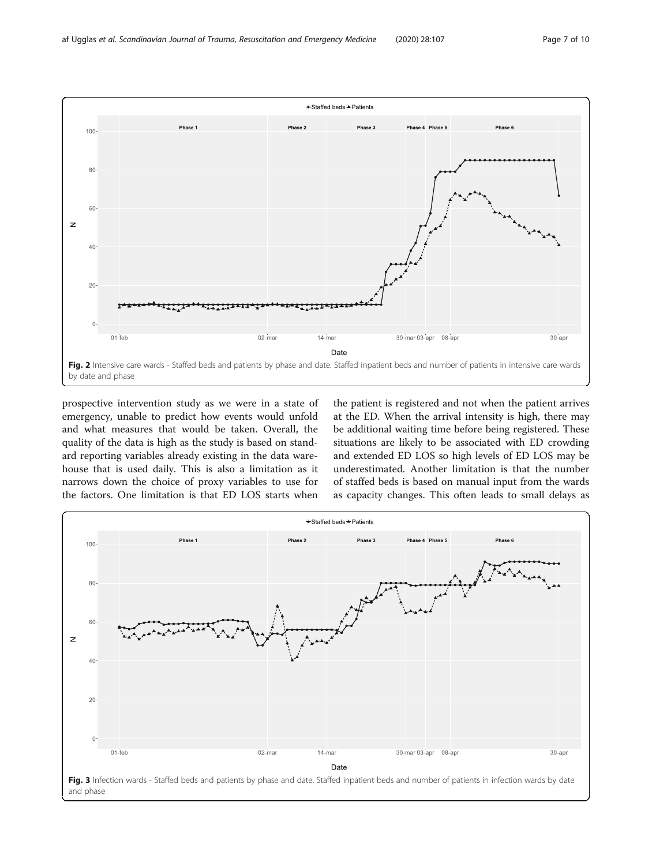<span id="page-6-0"></span>

prospective intervention study as we were in a state of emergency, unable to predict how events would unfold and what measures that would be taken. Overall, the quality of the data is high as the study is based on standard reporting variables already existing in the data warehouse that is used daily. This is also a limitation as it narrows down the choice of proxy variables to use for the factors. One limitation is that ED LOS starts when

the patient is registered and not when the patient arrives at the ED. When the arrival intensity is high, there may be additional waiting time before being registered. These situations are likely to be associated with ED crowding and extended ED LOS so high levels of ED LOS may be underestimated. Another limitation is that the number of staffed beds is based on manual input from the wards as capacity changes. This often leads to small delays as

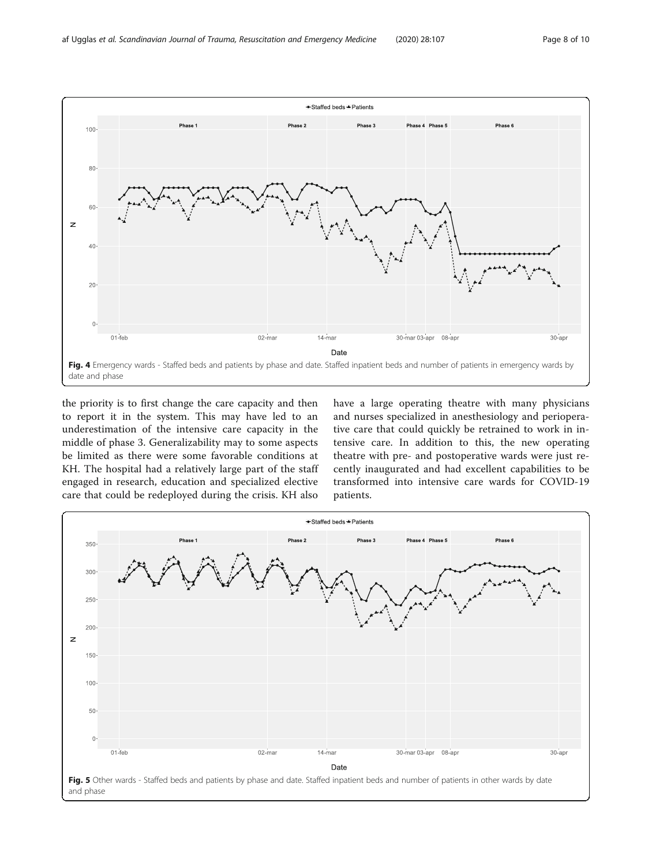<span id="page-7-0"></span>

the priority is to first change the care capacity and then to report it in the system. This may have led to an underestimation of the intensive care capacity in the middle of phase 3. Generalizability may to some aspects be limited as there were some favorable conditions at KH. The hospital had a relatively large part of the staff engaged in research, education and specialized elective care that could be redeployed during the crisis. KH also

have a large operating theatre with many physicians and nurses specialized in anesthesiology and perioperative care that could quickly be retrained to work in intensive care. In addition to this, the new operating theatre with pre- and postoperative wards were just recently inaugurated and had excellent capabilities to be transformed into intensive care wards for COVID-19 patients.

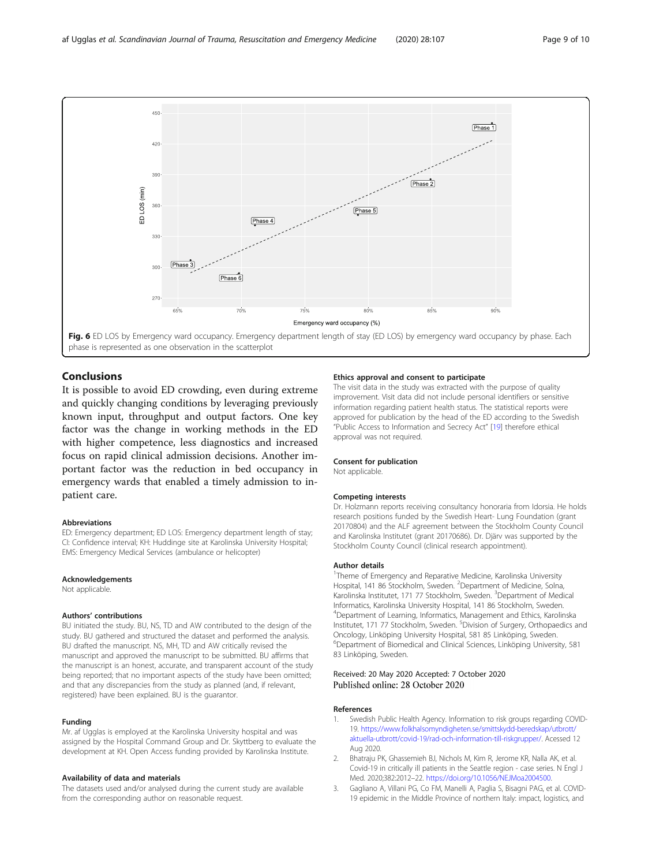<span id="page-8-0"></span>

# Conclusions

It is possible to avoid ED crowding, even during extreme and quickly changing conditions by leveraging previously known input, throughput and output factors. One key factor was the change in working methods in the ED with higher competence, less diagnostics and increased focus on rapid clinical admission decisions. Another important factor was the reduction in bed occupancy in emergency wards that enabled a timely admission to inpatient care.

#### Abbreviations

ED: Emergency department; ED LOS: Emergency department length of stay; CI: Confidence interval; KH: Huddinge site at Karolinska University Hospital; EMS: Emergency Medical Services (ambulance or helicopter)

#### Acknowledgements

Not applicable.

#### Authors' contributions

BU initiated the study. BU, NS, TD and AW contributed to the design of the study. BU gathered and structured the dataset and performed the analysis. BU drafted the manuscript. NS, MH, TD and AW critically revised the manuscript and approved the manuscript to be submitted. BU affirms that the manuscript is an honest, accurate, and transparent account of the study being reported; that no important aspects of the study have been omitted; and that any discrepancies from the study as planned (and, if relevant, registered) have been explained. BU is the guarantor.

#### Funding

Mr. af Ugglas is employed at the Karolinska University hospital and was assigned by the Hospital Command Group and Dr. Skyttberg to evaluate the development at KH. Open Access funding provided by Karolinska Institute.

#### Availability of data and materials

The datasets used and/or analysed during the current study are available from the corresponding author on reasonable request.

#### Ethics approval and consent to participate

The visit data in the study was extracted with the purpose of quality improvement. Visit data did not include personal identifiers or sensitive information regarding patient health status. The statistical reports were approved for publication by the head of the ED according to the Swedish "Public Access to Information and Secrecy Act" [\[19](#page-9-0)] therefore ethical approval was not required.

#### Consent for publication

Not applicable.

#### Competing interests

Dr. Holzmann reports receiving consultancy honoraria from Idorsia. He holds research positions funded by the Swedish Heart- Lung Foundation (grant 20170804) and the ALF agreement between the Stockholm County Council and Karolinska Institutet (grant 20170686). Dr. Djärv was supported by the Stockholm County Council (clinical research appointment).

#### Author details

<sup>1</sup>Theme of Emergency and Reparative Medicine, Karolinska University Hospital, 141 86 Stockholm, Sweden. <sup>2</sup>Department of Medicine, Solna, Karolinska Institutet, 171 77 Stockholm, Sweden. <sup>3</sup>Department of Medical Informatics, Karolinska University Hospital, 141 86 Stockholm, Sweden. 4 Department of Learning, Informatics, Management and Ethics, Karolinska Institutet, 171 77 Stockholm, Sweden. <sup>5</sup>Division of Surgery, Orthopaedics and Oncology, Linköping University Hospital, 581 85 Linköping, Sweden. 6 Department of Biomedical and Clinical Sciences, Linköping University, 581 83 Linköping, Sweden.

#### Received: 20 May 2020 Accepted: 7 October 2020 Published online: 28 October 2020

#### References

- 1. Swedish Public Health Agency. Information to risk groups regarding COVID-19. [https://www.folkhalsomyndigheten.se/smittskydd-beredskap/utbrott/](https://www.folkhalsomyndigheten.se/smittskydd-beredskap/utbrott/aktuella-utbrott/covid-19/rad-och-information-till-riskgrupper/) [aktuella-utbrott/covid-19/rad-och-information-till-riskgrupper/.](https://www.folkhalsomyndigheten.se/smittskydd-beredskap/utbrott/aktuella-utbrott/covid-19/rad-och-information-till-riskgrupper/) Acessed 12 Aug 2020.
- 2. Bhatraju PK, Ghassemieh BJ, Nichols M, Kim R, Jerome KR, Nalla AK, et al. Covid-19 in critically ill patients in the Seattle region - case series. N Engl J Med. 2020;382:2012–22. <https://doi.org/10.1056/NEJMoa2004500>.
- 3. Gagliano A, Villani PG, Co FM, Manelli A, Paglia S, Bisagni PAG, et al. COVID-19 epidemic in the Middle Province of northern Italy: impact, logistics, and